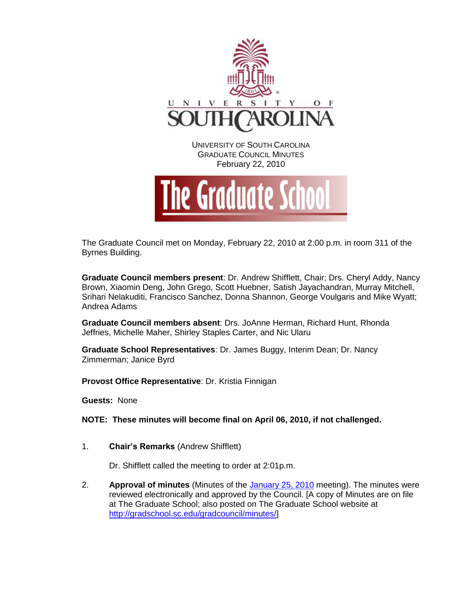

The Graduate Council met on Monday, February 22, 2010 at 2:00 p.m. in room 311 of the Byrnes Building.

**Graduate Council members present**: Dr. Andrew Shifflett, Chair; Drs. Cheryl Addy, Nancy Brown, Xiaomin Deng, John Grego, Scott Huebner, Satish Jayachandran, Murray Mitchell, Srihari Nelakuditi, Francisco Sanchez, Donna Shannon, George Voulgaris and Mike Wyatt; Andrea Adams

**Graduate Council members absent**: Drs. JoAnne Herman, Richard Hunt, Rhonda Jeffries, Michelle Maher, Shirley Staples Carter, and Nic Ularu

**Graduate School Representatives**: Dr. James Buggy, Interim Dean; Dr. Nancy Zimmerman; Janice Byrd

**Provost Office Representative**: Dr. Kristia Finnigan

**Guests:** None

**NOTE: These minutes will become final on April 06, 2010, if not challenged.**

1. **Chair's Remarks** (Andrew Shifflett)

Dr. Shifflett called the meeting to order at 2:01p.m.

2. **Approval of minutes** (Minutes of the [January 25, 2010](http://gradschool.sc.edu/gradcouncil/minutes/GCMinutes%20012510.pdf) meeting). The minutes were reviewed electronically and approved by the Council. [A copy of Minutes are on file at The Graduate School; also posted on The Graduate School website at [http://gradschool.sc.edu/gradcouncil/minutes/\]](http://gradschool.sc.edu/gradcouncil/minutes/)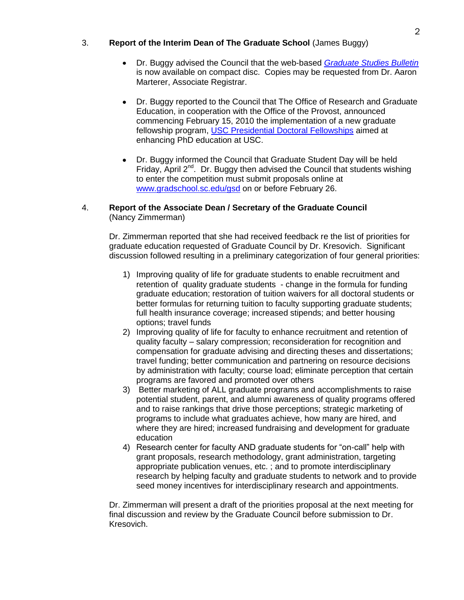## 3. **Report of the Interim Dean of The Graduate School** (James Buggy)

- Dr. Buggy advised the Council that the web-based *[Graduate Studies Bulletin](http://bulletin.sc.edu/index.php?catoid=4)* is now available on compact disc. Copies may be requested from Dr. Aaron Marterer, Associate Registrar.
- Dr. Buggy reported to the Council that The Office of Research and Graduate Education, in cooperation with the Office of the Provost, announced commencing February 15, 2010 the implementation of a new graduate fellowship program, [USC Presidential Doctoral Fellowships](http://www.sc.edu/research/pdf/USC_Presidential_Doctoral_Fellowships.pdf) aimed at enhancing PhD education at USC.
- Dr. Buggy informed the Council that Graduate Student Day will be held Friday, April  $2^{nd}$ . Dr. Buggy then advised the Council that students wishing to enter the competition must submit proposals online at [www.gradschool.sc.edu/gsd](http://www.gradschool.sc.edu/gsd) on or before February 26.

## 4. **Report of the Associate Dean / Secretary of the Graduate Council**  (Nancy Zimmerman)

Dr. Zimmerman reported that she had received feedback re the list of priorities for graduate education requested of Graduate Council by Dr. Kresovich. Significant discussion followed resulting in a preliminary categorization of four general priorities:

- 1) Improving quality of life for graduate students to enable recruitment and retention of quality graduate students - change in the formula for funding graduate education; restoration of tuition waivers for all doctoral students or better formulas for returning tuition to faculty supporting graduate students; full health insurance coverage; increased stipends; and better housing options; travel funds
- 2) Improving quality of life for faculty to enhance recruitment and retention of quality faculty – salary compression; reconsideration for recognition and compensation for graduate advising and directing theses and dissertations; travel funding; better communication and partnering on resource decisions by administration with faculty; course load; eliminate perception that certain programs are favored and promoted over others
- 3) Better marketing of ALL graduate programs and accomplishments to raise potential student, parent, and alumni awareness of quality programs offered and to raise rankings that drive those perceptions; strategic marketing of programs to include what graduates achieve, how many are hired, and where they are hired; increased fundraising and development for graduate education
- 4) Research center for faculty AND graduate students for "on-call" help with grant proposals, research methodology, grant administration, targeting appropriate publication venues, etc. ; and to promote interdisciplinary research by helping faculty and graduate students to network and to provide seed money incentives for interdisciplinary research and appointments.

Dr. Zimmerman will present a draft of the priorities proposal at the next meeting for final discussion and review by the Graduate Council before submission to Dr. Kresovich.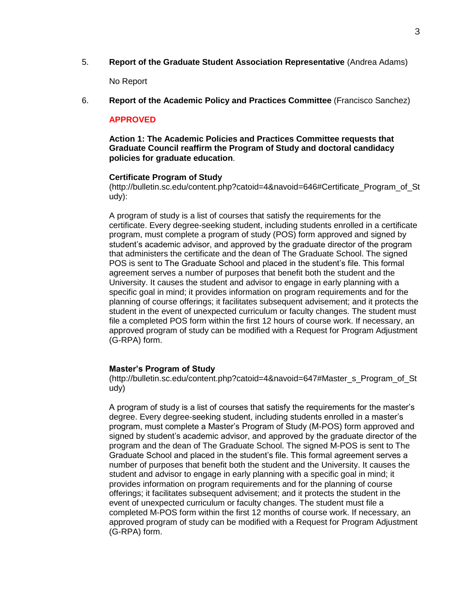5. **Report of the Graduate Student Association Representative** (Andrea Adams)

No Report

6. **Report of the Academic Policy and Practices Committee** (Francisco Sanchez)

### **APPROVED**

**Action 1: The Academic Policies and Practices Committee requests that Graduate Council reaffirm the Program of Study and doctoral candidacy policies for graduate education**.

#### **Certificate Program of Study**

(http://bulletin.sc.edu/content.php?catoid=4&navoid=646#Certificate\_Program\_of\_St udy):

A program of study is a list of courses that satisfy the requirements for the certificate. Every degree-seeking student, including students enrolled in a certificate program, must complete a program of study (POS) form approved and signed by student's academic advisor, and approved by the graduate director of the program that administers the certificate and the dean of The Graduate School. The signed POS is sent to The Graduate School and placed in the student's file. This formal agreement serves a number of purposes that benefit both the student and the University. It causes the student and advisor to engage in early planning with a specific goal in mind; it provides information on program requirements and for the planning of course offerings; it facilitates subsequent advisement; and it protects the student in the event of unexpected curriculum or faculty changes. The student must file a completed POS form within the first 12 hours of course work. If necessary, an approved program of study can be modified with a Request for Program Adjustment (G-RPA) form.

### **Master's Program of Study**

(http://bulletin.sc.edu/content.php?catoid=4&navoid=647#Master\_s\_Program\_of\_St udy)

A program of study is a list of courses that satisfy the requirements for the master's degree. Every degree-seeking student, including students enrolled in a master's program, must complete a Master's Program of Study (M-POS) form approved and signed by student's academic advisor, and approved by the graduate director of the program and the dean of The Graduate School. The signed M-POS is sent to The Graduate School and placed in the student's file. This formal agreement serves a number of purposes that benefit both the student and the University. It causes the student and advisor to engage in early planning with a specific goal in mind; it provides information on program requirements and for the planning of course offerings; it facilitates subsequent advisement; and it protects the student in the event of unexpected curriculum or faculty changes. The student must file a completed M-POS form within the first 12 months of course work. If necessary, an approved program of study can be modified with a Request for Program Adjustment (G-RPA) form.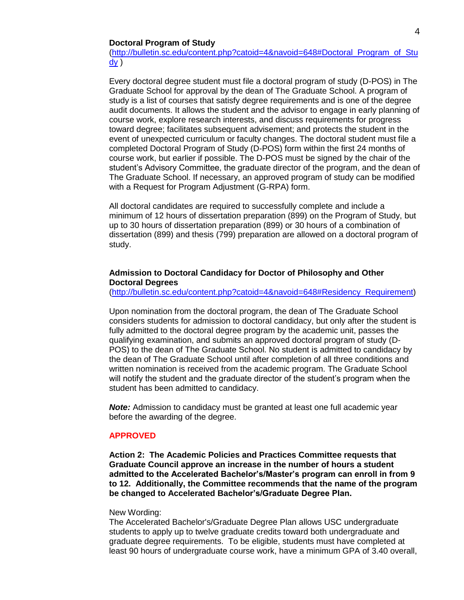#### **Doctoral Program of Study**

[\(http://bulletin.sc.edu/content.php?catoid=4&navoid=648#Doctoral\\_Program\\_of\\_Stu](http://bulletin.sc.edu/content.php?catoid=4&navoid=648#Doctoral_Program_of_Study)  $\underline{dy}$  $\underline{dy}$  $\underline{dy}$ )

Every doctoral degree student must file a doctoral program of study (D-POS) in The Graduate School for approval by the dean of The Graduate School. A program of study is a list of courses that satisfy degree requirements and is one of the degree audit documents. It allows the student and the advisor to engage in early planning of course work, explore research interests, and discuss requirements for progress toward degree; facilitates subsequent advisement; and protects the student in the event of unexpected curriculum or faculty changes. The doctoral student must file a completed Doctoral Program of Study (D-POS) form within the first 24 months of course work, but earlier if possible. The D-POS must be signed by the chair of the student's Advisory Committee, the graduate director of the program, and the dean of The Graduate School. If necessary, an approved program of study can be modified with a Request for Program Adjustment (G-RPA) form.

All doctoral candidates are required to successfully complete and include a minimum of 12 hours of dissertation preparation (899) on the Program of Study, but up to 30 hours of dissertation preparation (899) or 30 hours of a combination of dissertation (899) and thesis (799) preparation are allowed on a doctoral program of study.

#### **Admission to Doctoral Candidacy for Doctor of Philosophy and Other Doctoral Degrees**

[\(http://bulletin.sc.edu/content.php?catoid=4&navoid=648#Residency\\_Requirement\)](http://bulletin.sc.edu/content.php?catoid=4&navoid=648#Residency_Requirement)

Upon nomination from the doctoral program, the dean of The Graduate School considers students for admission to doctoral candidacy, but only after the student is fully admitted to the doctoral degree program by the academic unit, passes the qualifying examination, and submits an approved doctoral program of study (D-POS) to the dean of The Graduate School. No student is admitted to candidacy by the dean of The Graduate School until after completion of all three conditions and written nomination is received from the academic program. The Graduate School will notify the student and the graduate director of the student's program when the student has been admitted to candidacy.

*Note:* Admission to candidacy must be granted at least one full academic year before the awarding of the degree.

#### **APPROVED**

**Action 2: The Academic Policies and Practices Committee requests that Graduate Council approve an increase in the number of hours a student admitted to the Accelerated Bachelor's/Master's program can enroll in from 9 to 12. Additionally, the Committee recommends that the name of the program be changed to Accelerated Bachelor's/Graduate Degree Plan.** 

#### New Wording:

The Accelerated Bachelor's/Graduate Degree Plan allows USC undergraduate students to apply up to twelve graduate credits toward both undergraduate and graduate degree requirements. To be eligible, students must have completed at least 90 hours of undergraduate course work, have a minimum GPA of 3.40 overall,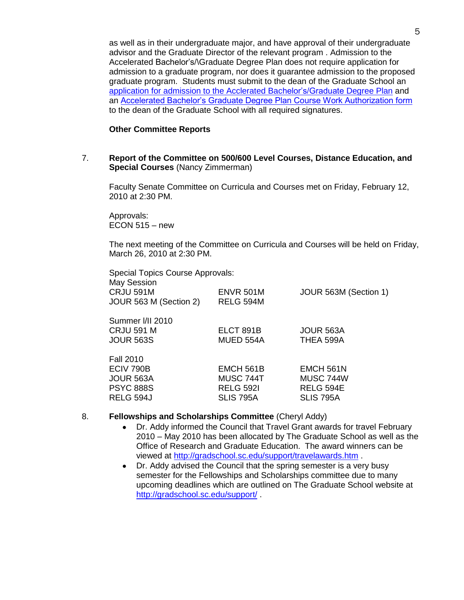as well as in their undergraduate major, and have approval of their undergraduate advisor and the Graduate Director of the relevant program . Admission to the Accelerated Bachelor's/\Graduate Degree Plan does not require application for admission to a graduate program, nor does it guarantee admission to the proposed graduate program. Students must submit to the dean of the Graduate School an [application for admission to the Acclerated Bachelor's/Graduate Degree Plan](http://gradschool.sc.edu/DocLibrary/documents/G-BMPA.bachelors.masters.plan.admission.GS59.pdf) and an [Accelerated Bachelor's Graduate Degree Plan Course Work Authorization form](http://gradschool.sc.edu/DocLibrary/documents/G-BMCA.bachelors.master.plan.coursework.GS19a.pdf) to the dean of the Graduate School with all required signatures.

#### **Other Committee Reports**

7. **Report of the Committee on 500/600 Level Courses, Distance Education, and Special Courses** (Nancy Zimmerman)

Faculty Senate Committee on Curricula and Courses met on Friday, February 12, 2010 at 2:30 PM.

Approvals:  $ECON 515 - new$ 

The next meeting of the Committee on Curricula and Courses will be held on Friday, March 26, 2010 at 2:30 PM.

| Special Topics Course Approvals: |                  |                       |
|----------------------------------|------------------|-----------------------|
| <b>May Session</b>               |                  |                       |
| <b>CRJU 591M</b>                 | <b>ENVR 501M</b> | JOUR 563M (Section 1) |
| JOUR 563 M (Section 2)           | RELG 594M        |                       |
| Summer I/II 2010                 |                  |                       |
| <b>CRJU 591 M</b>                | ELCT 891B        | JOUR 563A             |
| <b>JOUR 563S</b>                 | MUED 554A        | THEA 599A             |
| <b>Fall 2010</b>                 |                  |                       |
| ECIV 790B                        | EMCH 561B        | EMCH 561N             |
| <b>JOUR 563A</b>                 | MUSC 744T        | MUSC 744W             |
| <b>PSYC 888S</b>                 | <b>RELG 5921</b> | <b>RELG 594E</b>      |
| RELG 594J                        | SLIS 795A        | <b>SLIS 795A</b>      |
|                                  |                  |                       |

### 8. **Fellowships and Scholarships Committee** (Cheryl Addy)

- Dr. Addy informed the Council that Travel Grant awards for travel February  $\bullet$ 2010 – May 2010 has been allocated by The Graduate School as well as the Office of Research and Graduate Education. The award winners can be viewed at<http://gradschool.sc.edu/support/travelawards.htm> .
- Dr. Addy advised the Council that the spring semester is a very busy semester for the Fellowships and Scholarships committee due to many upcoming deadlines which are outlined on The Graduate School website at <http://gradschool.sc.edu/support/> .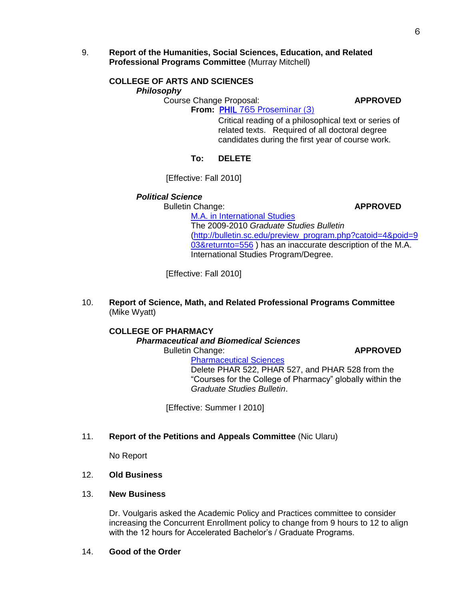9. **Report of the Humanities, Social Sciences, Education, and Related Professional Programs Committee** (Murray Mitchell)

# **COLLEGE OF ARTS AND SCIENCES**

*Philosophy*

Course Change Proposal: **APPROVED From:** PHIL [765 Proseminar \(3\)](http://gradschool.sc.edu/gradcouncil/09-10_Curricula/CCP%20PHIL%20765.pdf)

Critical reading of a philosophical text or series of related texts. Required of all doctoral degree candidates during the first year of course work.

## **To: DELETE**

[Effective: Fall 2010]

# *Political Science*

Bulletin Change: **APPROVED**

[M.A. in International Studies](http://gradschool.sc.edu/gradcouncil/09-10_Curricula/BCH%20M.A.%20in%20International%20Studies.pdf) The 2009-2010 *Graduate Studies Bulletin* [\(http://bulletin.sc.edu/preview\\_program.php?catoid=4&poid=9](http://bulletin.sc.edu/preview_program.php?catoid=4&poid=903&returnto=556) [03&returnto=556](http://bulletin.sc.edu/preview_program.php?catoid=4&poid=903&returnto=556)) has an inaccurate description of the M.A. International Studies Program/Degree.

[Effective: Fall 2010]

10. **Report of Science, Math, and Related Professional Programs Committee** (Mike Wyatt)

## **COLLEGE OF PHARMACY**

*Pharmaceutical and Biomedical Sciences*

Bulletin Change: **APPROVED**

[Pharmaceutical Sciences](http://gradschool.sc.edu/gradcouncil/09-10_Curricula/BCH%20Pharmacy.pdf) Delete PHAR 522, PHAR 527, and PHAR 528 from the "Courses for the College of Pharmacy" globally within the *Graduate Studies Bulletin*.

[Effective: Summer I 2010]

11. **Report of the Petitions and Appeals Committee** (Nic Ularu)

No Report

## 12. **Old Business**

### 13. **New Business**

Dr. Voulgaris asked the Academic Policy and Practices committee to consider increasing the Concurrent Enrollment policy to change from 9 hours to 12 to align with the 12 hours for Accelerated Bachelor's / Graduate Programs.

14. **Good of the Order**